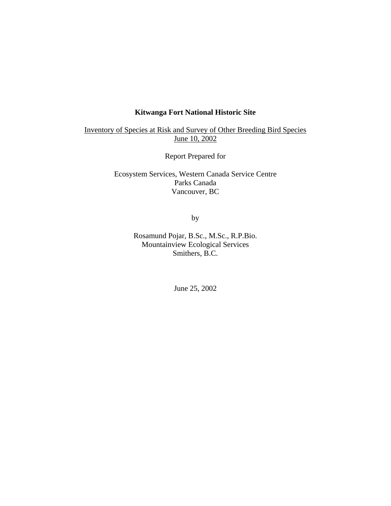# **Kitwanga Fort National Historic Site**

Inventory of Species at Risk and Survey of Other Breeding Bird Species June 10, 2002

Report Prepared for

Ecosystem Services, Western Canada Service Centre Parks Canada Vancouver, BC

by

Rosamund Pojar, B.Sc., M.Sc., R.P.Bio. Mountainview Ecological Services Smithers, B.C.

June 25, 2002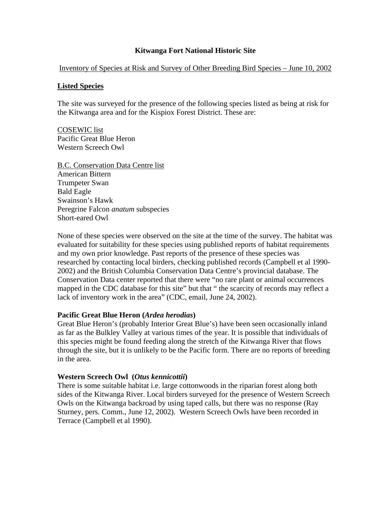# **Kitwanga Fort National Historic Site**

Inventory of Species at Risk and Survey of Other Breeding Bird Species – June 10, 2002

### **Listed Species**

The site was surveyed for the presence of the following species listed as being at risk for the Kitwanga area and for the Kispiox Forest District. These are:

COSEWIC list Pacific Great Blue Heron Western Screech Owl

B.C. Conservation Data Centre list American Bittern Trumpeter Swan Bald Eagle Swainson's Hawk Peregrine Falcon *anatum* subspecies Short-eared Owl

None of these species were observed on the site at the time of the survey. The habitat was evaluated for suitability for these species using published reports of habitat requirements and my own prior knowledge. Past reports of the presence of these species was researched by contacting local birders, checking published records (Campbell et al 1990- 2002) and the British Columbia Conservation Data Centre's provincial database. The Conservation Data center reported that there were "no rare plant or animal occurrences mapped in the CDC database for this site" but that " the scarcity of records may reflect a lack of inventory work in the area" (CDC, email, June 24, 2002).

# **Pacific Great Blue Heron (***Ardea herodias***)**

Great Blue Heron's (probably Interior Great Blue's) have been seen occasionally inland as far as the Bulkley Valley at various times of the year. It is possible that individuals of this species might be found feeding along the stretch of the Kitwanga River that flows through the site, but it is unlikely to be the Pacific form. There are no reports of breeding in the area.

# **Western Screech Owl (***Otus kennicottii***)**

There is some suitable habitat i.e. large cottonwoods in the riparian forest along both sides of the Kitwanga River. Local birders surveyed for the presence of Western Screech Owls on the Kitwanga backroad by using taped calls, but there was no response (Ray Sturney, pers. Comm., June 12, 2002). Western Screech Owls have been recorded in Terrace (Campbell et al 1990).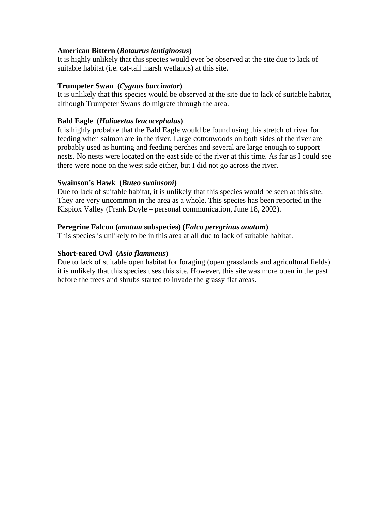# **American Bittern (***Botaurus lentiginosus***)**

It is highly unlikely that this species would ever be observed at the site due to lack of suitable habitat (i.e. cat-tail marsh wetlands) at this site.

# **Trumpeter Swan (***Cygnus buccinator***)**

It is unlikely that this species would be observed at the site due to lack of suitable habitat, although Trumpeter Swans do migrate through the area.

# **Bald Eagle (***Haliaeetus leucocephalus***)**

It is highly probable that the Bald Eagle would be found using this stretch of river for feeding when salmon are in the river. Large cottonwoods on both sides of the river are probably used as hunting and feeding perches and several are large enough to support nests. No nests were located on the east side of the river at this time. As far as I could see there were none on the west side either, but I did not go across the river.

# **Swainson's Hawk (***Buteo swainsoni***)**

Due to lack of suitable habitat, it is unlikely that this species would be seen at this site. They are very uncommon in the area as a whole. This species has been reported in the Kispiox Valley (Frank Doyle – personal communication, June 18, 2002).

# **Peregrine Falcon (***anatum* **subspecies) (***Falco peregrinus anatum***)**

This species is unlikely to be in this area at all due to lack of suitable habitat.

# **Short-eared Owl (***Asio flammeus***)**

Due to lack of suitable open habitat for foraging (open grasslands and agricultural fields) it is unlikely that this species uses this site. However, this site was more open in the past before the trees and shrubs started to invade the grassy flat areas.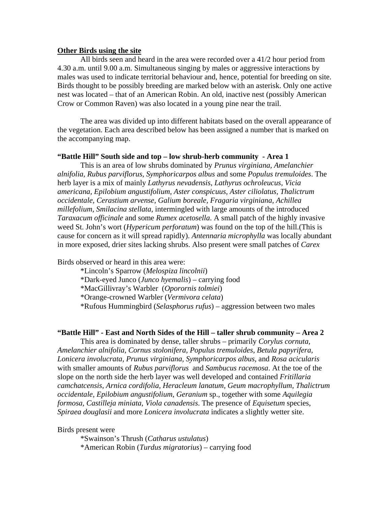#### **Other Birds using the site**

All birds seen and heard in the area were recorded over a 41/2 hour period from 4.30 a.m. until 9.00 a.m. Simultaneous singing by males or aggressive interactions by males was used to indicate territorial behaviour and, hence, potential for breeding on site. Birds thought to be possibly breeding are marked below with an asterisk. Only one active nest was located – that of an American Robin. An old, inactive nest (possibly American Crow or Common Raven) was also located in a young pine near the trail.

 The area was divided up into different habitats based on the overall appearance of the vegetation. Each area described below has been assigned a number that is marked on the accompanying map.

#### **"Battle Hill" South side and top – low shrub-herb community - Area 1**

This is an area of low shrubs dominated by *Prunus virginiana, Amelanchier alnifolia, Rubus parviflorus, Symphoricarpos albus* and some *Populus tremuloides*. The herb layer is a mix of mainly *Lathyrus nevadensis, Lathyrus ochroleucus, Vicia americana, Epilobium angustifolium, Aster conspicuus, Aster ciliolatus, Thalictrum occidentale, Cerastium arvense, Galium boreale, Fragaria virginiana, Achillea millefolium, Smilacina stellata,* intermingled with large amounts of the introduced *Taraxacum officinale* and some *Rumex acetosella*. A small patch of the highly invasive weed St. John's wort (*Hypericum perforatum*) was found on the top of the hill.(This is cause for concern as it will spread rapidly). *Antennaria microphylla* was locally abundant in more exposed, drier sites lacking shrubs. Also present were small patches of *Carex*

Birds observed or heard in this area were:

\*Lincoln's Sparrow (*Melospiza lincolnii*) \*Dark-eyed Junco (*Junco hyemalis*) – carrying food \*MacGillivray's Warbler (*Oporornis tolmiei*) \*Orange-crowned Warbler (*Vermivora celata*) \*Rufous Hummingbird (*Selasphorus rufus*) – aggression between two males

#### **"Battle Hill" - East and North Sides of the Hill – taller shrub community – Area 2**

This area is dominated by dense, taller shrubs – primarily *Corylus cornuta, Amelanchier alnifolia, Cornus stolonifera, Populus tremuloides, Betula papyrifera, Lonicera involucrata, Prunus virginiana, Symphoricarpos albus,* and *Rosa acicularis* with smaller amounts of *Rubus parviflorus* and *Sambucus racemosa*. At the toe of the slope on the north side the herb layer was well developed and contained *Fritillaria camchatcensis, Arnica cordifolia, Heracleum lanatum, Geum macrophyllum, Thalictrum occidentale, Epilobium angustifolium, Geranium* sp.*,* together with some *Aquilegia formosa, Castilleja miniata, Viola canadensis*. The presence of *Equisetum* species, *Spiraea douglasii* and more *Lonicera involucrata* indicates a slightly wetter site.

#### Birds present were

\*Swainson's Thrush (*Catharus ustulatus*)

\*American Robin (*Turdus migratorius*) – carrying food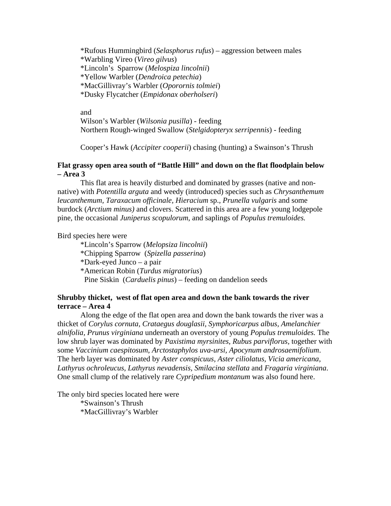\*Rufous Hummingbird (*Selasphorus rufus*) – aggression between males \*Warbling Vireo (*Vireo gilvus*) \*Lincoln's Sparrow (*Melospiza lincolnii*) \*Yellow Warbler (*Dendroica petechia*) \*MacGillivray's Warbler (*Oporornis tolmiei*) \*Dusky Flycatcher (*Empidonax oberholseri*)

and Wilson's Warbler (*Wilsonia pusilla*) - feeding Northern Rough-winged Swallow (*Stelgidopteryx serripennis*) - feeding

Cooper's Hawk (*Accipiter cooperii*) chasing (hunting) a Swainson's Thrush

### **Flat grassy open area south of "Battle Hill" and down on the flat floodplain below – Area 3**

This flat area is heavily disturbed and dominated by grasses (native and nonnative) with *Potentilla arguta* and weedy (introduced) species such as *Chrysanthemum leucanthemum, Taraxacum officinale, Hieracium* sp., *Prunella vulgaris* and some burdock (*Arctium minus)* and clovers. Scattered in this area are a few young lodgepole pine, the occasional *Juniperus scopulorum*, and saplings of *Populus tremuloides.* 

#### Bird species here were

 \*Lincoln's Sparrow (*Melopsiza lincolnii*) \*Chipping Sparrow (*Spizella passerina*) \*Dark-eyed Junco – a pair \*American Robin (*Turdus migratorius*) Pine Siskin (*Carduelis pinus*) – feeding on dandelion seeds

# **Shrubby thicket, west of flat open area and down the bank towards the river terrace – Area 4**

Along the edge of the flat open area and down the bank towards the river was a thicket of *Corylus cornuta, Crataegus douglasii, Symphoricarpus albus, Amelanchier alnifolia, Prunus virginiana* underneath an overstory of young *Populus tremuloides.* The low shrub layer was dominated by *Paxistima myrsinites, Rubus parviflorus,* together with some *Vaccinium caespitosum*, *Arctostaphylos uva-ursi, Apocynum androsaemifolium*. The herb layer was dominated by *Aster conspicuus, Aster ciliolatus, Vicia americana, Lathyrus ochroleucus, Lathyrus nevadensis, Smilacina stellata* and *Fragaria virginiana*. One small clump of the relatively rare *Cypripedium montanum* was also found here.

The only bird species located here were \*Swainson's Thrush \*MacGillivray's Warbler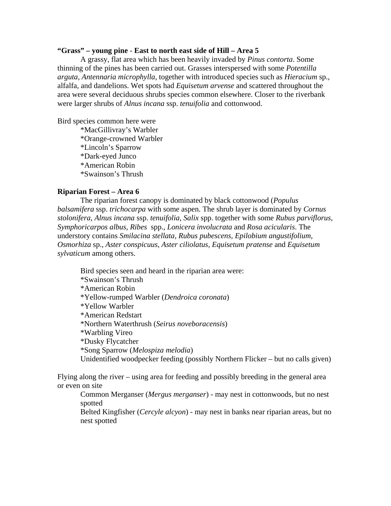#### **"Grass" – young pine** - **East to north east side of Hill – Area 5**

A grassy, flat area which has been heavily invaded by *Pinus contorta*. Some thinning of the pines has been carried out. Grasses interspersed with some *Potentilla arguta, Antennaria microphylla,* together with introduced species such as *Hieracium* sp., alfalfa, and dandelions. Wet spots had *Equisetum arvense* and scattered throughout the area were several deciduous shrubs species common elsewhere. Closer to the riverbank were larger shrubs of *Alnus incana* ssp. *tenuifolia* and cottonwood.

Bird species common here were

 \*MacGillivray's Warbler \*Orange-crowned Warbler \*Lincoln's Sparrow \*Dark-eyed Junco \*American Robin \*Swainson's Thrush

#### **Riparian Forest – Area 6**

The riparian forest canopy is dominated by black cottonwood (*Populus balsamifera* ssp. *trichocarpa* with some aspen. The shrub layer is dominated by *Cornus stolonifera, Alnus incana* ssp. *tenuifolia, Salix* spp. together with some *Rubus parviflorus, Symphoricarpos albus, Ribes* spp., *Lonicera involucrata* and *Rosa acicularis*. The understory contains *Smilacina stellata, Rubus pubescens, Epilobium angustifolium, Osmorhiza* sp., *Aster conspicuus, Aster ciliolatus, Equisetum pratense* and *Equisetum sylvaticum* among others.

Bird species seen and heard in the riparian area were: \*Swainson's Thrush \*American Robin \*Yellow-rumped Warbler (*Dendroica coronata*) \*Yellow Warbler \*American Redstart \*Northern Waterthrush (*Seirus noveboracensis*) \*Warbling Vireo \*Dusky Flycatcher \*Song Sparrow (*Melospiza melodia*) Unidentified woodpecker feeding (possibly Northern Flicker – but no calls given)

Flying along the river – using area for feeding and possibly breeding in the general area or even on site

Common Merganser (*Mergus merganser*) - may nest in cottonwoods, but no nest spotted

Belted Kingfisher (*Cercyle alcyon*) - may nest in banks near riparian areas, but no nest spotted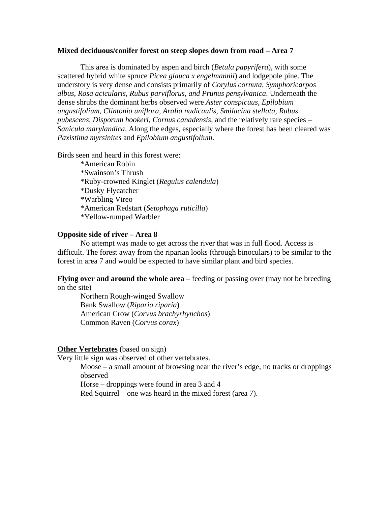#### **Mixed deciduous/conifer forest on steep slopes down from road – Area 7**

 This area is dominated by aspen and birch (*Betula papyrifera*), with some scattered hybrid white spruce *Picea glauca x engelmannii*) and lodgepole pine. The understory is very dense and consists primarily of *Corylus cornuta, Symphoricarpos albus, Rosa acicularis, Rubus parviflorus, and Prunus pensylvanica*. Underneath the dense shrubs the dominant herbs observed were *Aster conspicuus, Epilobium angustifolium, Clintonia uniflora, Aralia nudicaulis, Smilacina stellata, Rubus pubescens, Disporum hookeri, Cornus canadensis,* and the relatively rare species – *Sanicula marylandica*. Along the edges, especially where the forest has been cleared was *Paxistima myrsinites* and *Epilobium angustifolium*.

Birds seen and heard in this forest were:

 \*American Robin \*Swainson's Thrush \*Ruby-crowned Kinglet (*Regulus calendula*) \*Dusky Flycatcher \*Warbling Vireo \*American Redstart (*Setophaga ruticilla*) \*Yellow-rumped Warbler

#### **Opposite side of river – Area 8**

 No attempt was made to get across the river that was in full flood. Access is difficult. The forest away from the riparian looks (through binoculars) to be similar to the forest in area 7 and would be expected to have similar plant and bird species.

**Flying over and around the whole area** – feeding or passing over (may not be breeding on the site)

 Northern Rough-winged Swallow Bank Swallow (*Riparia riparia*) American Crow (*Corvus brachyrhynchos*) Common Raven (*Corvus corax*)

#### **Other Vertebrates** (based on sign)

Very little sign was observed of other vertebrates.

Moose – a small amount of browsing near the river's edge, no tracks or droppings observed

Horse – droppings were found in area 3 and 4

Red Squirrel – one was heard in the mixed forest (area 7).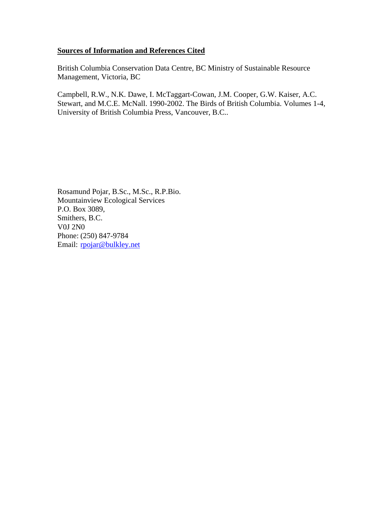# **Sources of Information and References Cited**

British Columbia Conservation Data Centre, BC Ministry of Sustainable Resource Management, Victoria, BC

Campbell, R.W., N.K. Dawe, I. McTaggart-Cowan, J.M. Cooper, G.W. Kaiser, A.C. Stewart, and M.C.E. McNall. 1990-2002. The Birds of British Columbia. Volumes 1-4, University of British Columbia Press, Vancouver, B.C..

Rosamund Pojar, B.Sc., M.Sc., R.P.Bio. Mountainview Ecological Services P.O. Box 3089, Smithers, B.C. V0J 2N0 Phone: (250) 847-9784 Email: rpojar@bulkley.net